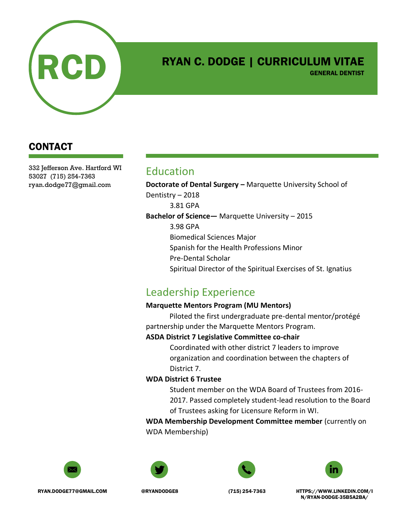

# RYAN C. DODGE | CURRICULUM VITAE

GENERAL DENTIST

## CONTACT

332 Jefferson Ave. Hartford WI 53027 (715) 254-7363 ryan.dodge77@gmail.com

## Education

**Doctorate of Dental Surgery –** Marquette University School of Dentistry – 2018 3.81 GPA **Bachelor of Science—** Marquette University – 2015 3.98 GPA Biomedical Sciences Major Spanish for the Health Professions Minor Pre-Dental Scholar Spiritual Director of the Spiritual Exercises of St. Ignatius

# Leadership Experience

#### **Marquette Mentors Program (MU Mentors)**

Piloted the first undergraduate pre-dental mentor/protégé partnership under the Marquette Mentors Program.

#### **ASDA District 7 Legislative Committee co-chair**

Coordinated with other district 7 leaders to improve organization and coordination between the chapters of District 7.

#### **WDA District 6 Trustee**

Student member on the WDA Board of Trustees from 2016- 2017. Passed completely student-lead resolution to the Board of Trustees asking for Licensure Reform in WI.

**WDA Membership Development Committee member** (currently on WDA Membership)









RYAN.DODGE77@GMAIL.COM @RYANDODGE8 (715) 254-7363 HTTPS://WWW.LINKEDIN.COM/I N/RYAN-DODGE-35B5A2BA/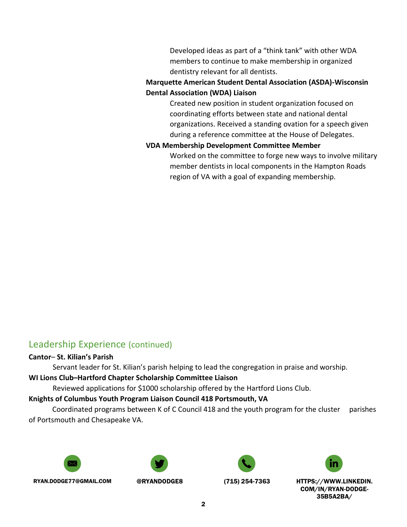Developed ideas as part of a "think tank" with other WDA members to continue to make membership in organized dentistry relevant for all dentists.

#### **Marquette American Student Dental Association (ASDA)-Wisconsin Dental Association (WDA) Liaison**

Created new position in student organization focused on coordinating efforts between state and national dental organizations. Received a standing ovation for a speech given during a reference committee at the House of Delegates.

#### **VDA Membership Development Committee Member**

Worked on the committee to forge new ways to involve military member dentists in local components in the Hampton Roads region of VA with a goal of expanding membership.

## Leadership Experience (continued)

#### **Cantor**– **St. Kilian's Parish**

Servant leader for St. Kilian's parish helping to lead the congregation in praise and worship.

#### **WI Lions Club–Hartford Chapter Scholarship Committee Liaison**

Reviewed applications for \$1000 scholarship offered by the Hartford Lions Club.

#### **Knights of Columbus Youth Program Liaison Council 418 Portsmouth, VA**

Coordinated programs between K of C Council 418 and the youth program for the cluster parishes of Portsmouth and Chesapeake VA.









RYAN.DODGE77@GMAIL.COM @RYANDODGE8 (715) 254-7363 HTTPS://WWW.LINKEDIN.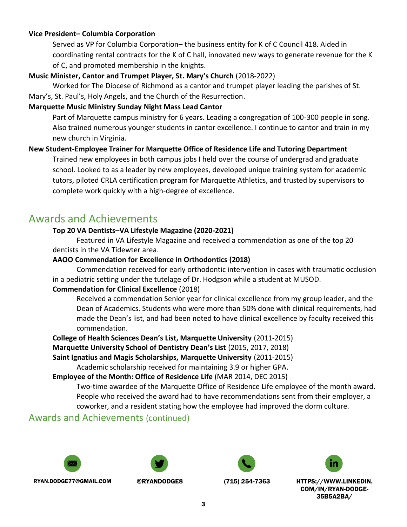#### **Vice President– Columbia Corporation**

Served as VP for Columbia Corporation– the business entity for K of C Council 418. Aided in coordinating rental contracts for the K of C hall, innovated new ways to generate revenue for the K of C, and promoted membership in the knights.

#### **Music Minister, Cantor and Trumpet Player, St. Mary's Church** (2018-2022)

Worked for The Diocese of Richmond as a cantor and trumpet player leading the parishes of St.

Mary's, St. Paul's, Holy Angels, and the Church of the Resurrection.

#### **Marquette Music Ministry Sunday Night Mass Lead Cantor**

Part of Marquette campus ministry for 6 years. Leading a congregation of 100-300 people in song. Also trained numerous younger students in cantor excellence. I continue to cantor and train in my new church in Virginia.

#### **New Student-Employee Trainer for Marquette Office of Residence Life and Tutoring Department**

Trained new employees in both campus jobs I held over the course of undergrad and graduate school. Looked to as a leader by new employees, developed unique training system for academic tutors, piloted CRLA certification program for Marquette Athletics, and trusted by supervisors to complete work quickly with a high-degree of excellence.

## Awards and Achievements

#### **Top 20 VA Dentists–VA Lifestyle Magazine (2020-2021)**

Featured in VA Lifestyle Magazine and received a commendation as one of the top 20 dentists in the VA Tidewter area.

#### **AAOO Commendation for Excellence in Orthodontics (2018)**

Commendation received for early orthodontic intervention in cases with traumatic occlusion in a pediatric setting under the tutelage of Dr. Hodgson while a student at MUSOD.

#### **Commendation for Clinical Excellence** (2018)

Received a commendation Senior year for clinical excellence from my group leader, and the Dean of Academics. Students who were more than 50% done with clinical requirements, had made the Dean's list, and had been noted to have clinical excellence by faculty received this commendation.

**College of Health Sciences Dean's List, Marquette University** (2011-2015) **Marquette University School of Dentistry Dean's List** (2015, 2017, 2018) **Saint Ignatius and Magis Scholarships, Marquette University** (2011-2015)

Academic scholarship received for maintaining 3.9 or higher GPA.

#### **Employee of the Month: Office of Residence Life** (MAR 2014, DEC 2015)

Two-time awardee of the Marquette Office of Residence Life employee of the month award. People who received the award had to have recommendations sent from their employer, a coworker, and a resident stating how the employee had improved the dorm culture.

## Awards and Achievements (continued)









RYAN.DODGE77@GMAIL.COM @RYANDODGE8 (715) 254-7363 HTTPS://WWW.LINKEDIN.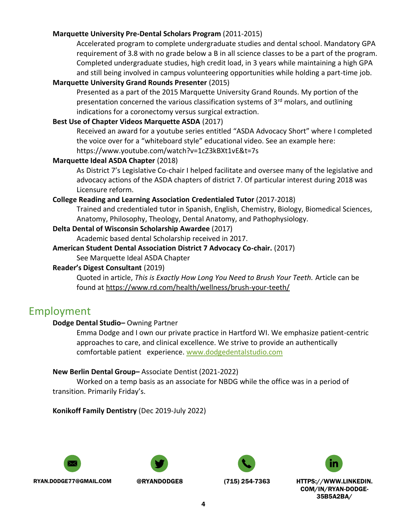#### **Marquette University Pre-Dental Scholars Program** (2011-2015)

Accelerated program to complete undergraduate studies and dental school. Mandatory GPA requirement of 3.8 with no grade below a B in all science classes to be a part of the program. Completed undergraduate studies, high credit load, in 3 years while maintaining a high GPA and still being involved in campus volunteering opportunities while holding a part-time job.

#### **Marquette University Grand Rounds Presenter** (2015)

Presented as a part of the 2015 Marquette University Grand Rounds. My portion of the presentation concerned the various classification systems of 3<sup>rd</sup> molars, and outlining indications for a coronectomy versus surgical extraction.

#### **Best Use of Chapter Videos Marquette ASDA** (2017)

Received an award for a youtube series entitled "ASDA Advocacy Short" where I completed the voice over for a "whiteboard style" educational video. See an example here: https://www.youtube.com/watch?v=1cZ3kBXt1vE&t=7s

#### **Marquette Ideal ASDA Chapter** (2018)

As District 7's Legislative Co-chair I helped facilitate and oversee many of the legislative and advocacy actions of the ASDA chapters of district 7. Of particular interest during 2018 was Licensure reform.

#### **College Reading and Learning Association Credentialed Tutor** (2017-2018)

Trained and credentialed tutor in Spanish, English, Chemistry, Biology, Biomedical Sciences, Anatomy, Philosophy, Theology, Dental Anatomy, and Pathophysiology.

#### **Delta Dental of Wisconsin Scholarship Awardee** (2017)

Academic based dental Scholarship received in 2017.

#### **American Student Dental Association District 7 Advocacy Co-chair.** (2017)

See Marquette Ideal ASDA Chapter

#### **Reader's Digest Consultant** (2019)

Quoted in article, *This is Exactly How Long You Need to Brush Your Teeth.* Article can be found at <https://www.rd.com/health/wellness/brush-your-teeth/>

## Employment

#### **Dodge Dental Studio–** Owning Partner

Emma Dodge and I own our private practice in Hartford WI. We emphasize patient-centric approaches to care, and clinical excellence. We strive to provide an authentically comfortable patient experience. [www.dodgedentalstudio.com](http://www.dodgedentalstudio.com/)

#### **New Berlin Dental Group–** Associate Dentist (2021-2022)

Worked on a temp basis as an associate for NBDG while the office was in a period of transition. Primarily Friday's.

**Konikoff Family Dentistry** (Dec 2019-July 2022)









RYAN.DODGE77@GMAIL.COM @RYANDODGE8 (715) 254-7363 HTTPS://WWW.LINKEDIN.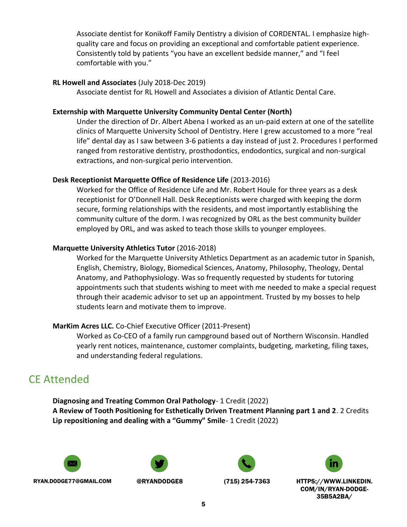Associate dentist for Konikoff Family Dentistry a division of CORDENTAL. I emphasize highquality care and focus on providing an exceptional and comfortable patient experience. Consistently told by patients "you have an excellent bedside manner," and "I feel comfortable with you."

#### **RL Howell and Associates** (July 2018-Dec 2019)

Associate dentist for RL Howell and Associates a division of Atlantic Dental Care.

#### **Externship with Marquette University Community Dental Center (North)**

Under the direction of Dr. Albert Abena I worked as an un-paid extern at one of the satellite clinics of Marquette University School of Dentistry. Here I grew accustomed to a more "real life" dental day as I saw between 3-6 patients a day instead of just 2. Procedures I performed ranged from restorative dentistry, prosthodontics, endodontics, surgical and non-surgical extractions, and non-surgical perio intervention.

#### **Desk Receptionist Marquette Office of Residence Life** (2013-2016)

Worked for the Office of Residence Life and Mr. Robert Houle for three years as a desk receptionist for O'Donnell Hall. Desk Receptionists were charged with keeping the dorm secure, forming relationships with the residents, and most importantly establishing the community culture of the dorm. I was recognized by ORL as the best community builder employed by ORL, and was asked to teach those skills to younger employees.

#### **Marquette University Athletics Tutor** (2016-2018)

Worked for the Marquette University Athletics Department as an academic tutor in Spanish, English, Chemistry, Biology, Biomedical Sciences, Anatomy, Philosophy, Theology, Dental Anatomy, and Pathophysiology. Was so frequently requested by students for tutoring appointments such that students wishing to meet with me needed to make a special request through their academic advisor to set up an appointment. Trusted by my bosses to help students learn and motivate them to improve.

#### **MarKim Acres LLC.** Co-Chief Executive Officer (2011-Present)

Worked as Co-CEO of a family run campground based out of Northern Wisconsin. Handled yearly rent notices, maintenance, customer complaints, budgeting, marketing, filing taxes, and understanding federal regulations.

# CE Attended

**Diagnosing and Treating Common Oral Pathology**- 1 Credit (2022) **A Review of Tooth Positioning for Esthetically Driven Treatment Planning part 1 and 2**. 2 Credits **Lip repositioning and dealing with a "Gummy" Smile**- 1 Credit (2022)









RYAN.DODGE77@GMAIL.COM @RYANDODGE8 (715) 254-7363 HTTPS://WWW.LINKEDIN.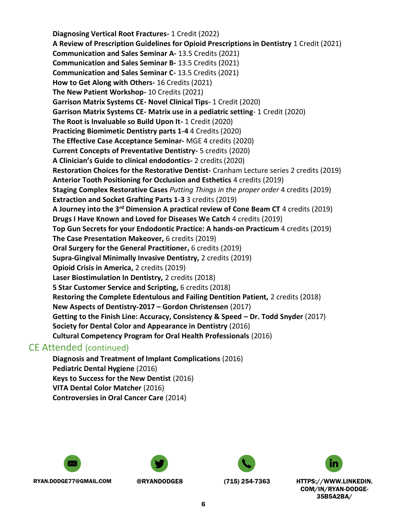**Diagnosing Vertical Root Fractures-** 1 Credit (2022) **A Review of Prescription Guidelines for Opioid Prescriptions in Dentistry** 1 Credit (2021) **Communication and Sales Seminar A-** 13.5 Credits (2021) **Communication and Sales Seminar B-** 13.5 Credits (2021) **Communication and Sales Seminar C-** 13.5 Credits (2021) **How to Get Along with Others-** 16 Credits (2021) **The New Patient Workshop-** 10 Credits (2021) **Garrison Matrix Systems CE- Novel Clinical Tips-** 1 Credit (2020) **Garrison Matrix Systems CE- Matrix use in a pediatric setting**- 1 Credit (2020) **The Root is Invaluable so Build Upon It-** 1 Credit (2020) **Practicing Biomimetic Dentistry parts 1-4** 4 Credits (2020) **The Effective Case Acceptance Seminar-** MGE 4 credits (2020) **Current Concepts of Preventative Dentistry-** 5 credits (2020) **A Clinician's Guide to clinical endodontics-** 2 credits (2020) **Restoration Choices for the Restorative Dentist-** Cranham Lecture series 2 credits (2019) **Anterior Tooth Positioning for Occlusion and Esthetics** 4 credits (2019) **Staging Complex Restorative Cases** *Putting Things in the proper order* 4 credits (2019) **Extraction and Socket Grafting Parts 1-3** 3 credits (2019) **A Journey into the 3rd Dimension A practical review of Cone Beam CT** 4 credits (2019) **Drugs I Have Known and Loved for Diseases We Catch** 4 credits (2019) **Top Gun Secrets for your Endodontic Practice: A hands-on Practicum** 4 credits (2019) **The Case Presentation Makeover,** 6 credits (2019) **Oral Surgery for the General Practitioner,** 6 credits (2019) **Supra-Gingival Minimally Invasive Dentistry,** 2 credits (2019) **Opioid Crisis in America,** 2 credits (2019) **Laser Biostimulation In Dentistry,** 2 credits (2018) **5 Star Customer Service and Scripting,** 6 credits (2018) **Restoring the Complete Edentulous and Failing Dentition Patient,** 2 credits (2018) **New Aspects of Dentistry-2017 – Gordon Christensen** (2017) **Getting to the Finish Line: Accuracy, Consistency & Speed – Dr. Todd Snyder** (2017) **Society for Dental Color and Appearance in Dentistry** (2016) **Cultural Competency Program for Oral Health Professionals** (2016)

## CE Attended (continued)

**Diagnosis and Treatment of Implant Complications** (2016) **Pediatric Dental Hygiene** (2016) **Keys to Success for the New Dentist** (2016) **VITA Dental Color Matcher** (2016) **Controversies in Oral Cancer Care** (2014)







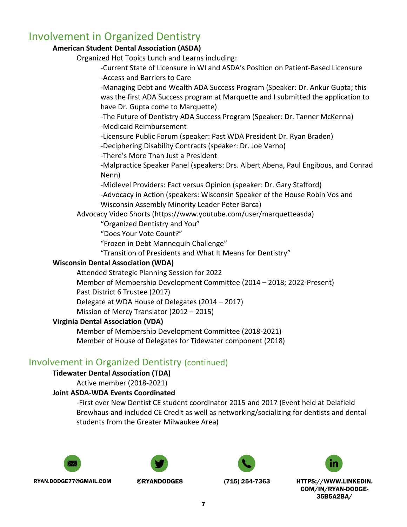# Involvement in Organized Dentistry

#### **American Student Dental Association (ASDA)**

Organized Hot Topics Lunch and Learns including:

-Current State of Licensure in WI and ASDA's Position on Patient-Based Licensure -Access and Barriers to Care

-Managing Debt and Wealth ADA Success Program (Speaker: Dr. Ankur Gupta; this was the first ADA Success program at Marquette and I submitted the application to have Dr. Gupta come to Marquette)

-The Future of Dentistry ADA Success Program (Speaker: Dr. Tanner McKenna) -Medicaid Reimbursement

-Licensure Public Forum (speaker: Past WDA President Dr. Ryan Braden)

-Deciphering Disability Contracts (speaker: Dr. Joe Varno)

-There's More Than Just a President

-Malpractice Speaker Panel (speakers: Drs. Albert Abena, Paul Engibous, and Conrad Nenn)

-Midlevel Providers: Fact versus Opinion (speaker: Dr. Gary Stafford)

-Advocacy in Action (speakers: Wisconsin Speaker of the House Robin Vos and Wisconsin Assembly Minority Leader Peter Barca)

Advocacy Video Shorts (https://www.youtube.com/user/marquetteasda)

"Organized Dentistry and You"

"Does Your Vote Count?"

"Frozen in Debt Mannequin Challenge"

"Transition of Presidents and What It Means for Dentistry"

#### **Wisconsin Dental Association (WDA)**

Attended Strategic Planning Session for 2022

Member of Membership Development Committee (2014 – 2018; 2022-Present)

Past District 6 Trustee (2017)

Delegate at WDA House of Delegates (2014 – 2017)

Mission of Mercy Translator (2012 – 2015)

#### **Virginia Dental Association (VDA)**

Member of Membership Development Committee (2018-2021) Member of House of Delegates for Tidewater component (2018)

## Involvement in Organized Dentistry (continued)

#### **Tidewater Dental Association (TDA)**

Active member (2018-2021)

#### **Joint ASDA-WDA Events Coordinated**

-First ever New Dentist CE student coordinator 2015 and 2017 (Event held at Delafield Brewhaus and included CE Credit as well as networking/socializing for dentists and dental students from the Greater Milwaukee Area)









RYAN.DODGE77@GMAIL.COM @RYANDODGE8 (715) 254-7363 HTTPS://WWW.LINKEDIN.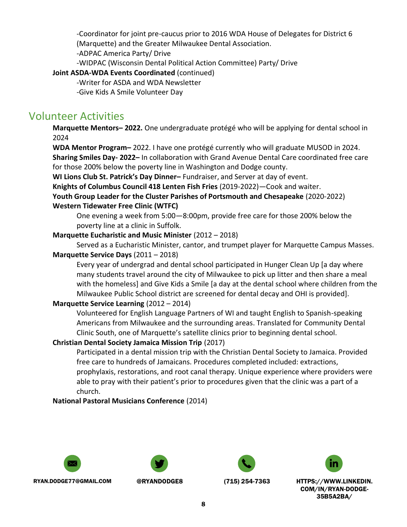-Coordinator for joint pre-caucus prior to 2016 WDA House of Delegates for District 6 (Marquette) and the Greater Milwaukee Dental Association.

-ADPAC America Party/ Drive

-WIDPAC (Wisconsin Dental Political Action Committee) Party/ Drive

### **Joint ASDA-WDA Events Coordinated** (continued)

-Writer for ASDA and WDA Newsletter

-Give Kids A Smile Volunteer Day

# Volunteer Activities

**Marquette Mentors– 2022.** One undergraduate protégé who will be applying for dental school in 2024

**WDA Mentor Program–** 2022. I have one protégé currently who will graduate MUSOD in 2024.

**Sharing Smiles Day- 2022–** In collaboration with Grand Avenue Dental Care coordinated free care for those 200% below the poverty line in Washington and Dodge county.

**WI Lions Club St. Patrick's Day Dinner–** Fundraiser, and Server at day of event.

**Knights of Columbus Council 418 Lenten Fish Fries** (2019-2022)—Cook and waiter.

**Youth Group Leader for the Cluster Parishes of Portsmouth and Chesapeake** (2020-2022)

## **Western Tidewater Free Clinic (WTFC)**

One evening a week from 5:00—8:00pm, provide free care for those 200% below the poverty line at a clinic in Suffolk.

## **Marquette Eucharistic and Music Minister** (2012 – 2018)

Served as a Eucharistic Minister, cantor, and trumpet player for Marquette Campus Masses. **Marquette Service Days** (2011 – 2018)

Every year of undergrad and dental school participated in Hunger Clean Up [a day where many students travel around the city of Milwaukee to pick up litter and then share a meal with the homeless] and Give Kids a Smile [a day at the dental school where children from the Milwaukee Public School district are screened for dental decay and OHI is provided].

## **Marquette Service Learning** (2012 – 2014)

Volunteered for English Language Partners of WI and taught English to Spanish-speaking Americans from Milwaukee and the surrounding areas. Translated for Community Dental Clinic South, one of Marquette's satellite clinics prior to beginning dental school.

## **Christian Dental Society Jamaica Mission Trip** (2017)

Participated in a dental mission trip with the Christian Dental Society to Jamaica. Provided free care to hundreds of Jamaicans. Procedures completed included: extractions, prophylaxis, restorations, and root canal therapy. Unique experience where providers were able to pray with their patient's prior to procedures given that the clinic was a part of a church.

## **National Pastoral Musicians Conference** (2014)









RYAN.DODGE77@GMAIL.COM @RYANDODGE8 (715) 254-7363 HTTPS://WWW.LINKEDIN.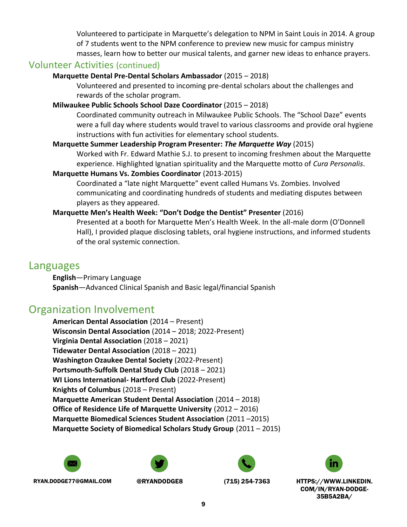Volunteered to participate in Marquette's delegation to NPM in Saint Louis in 2014. A group of 7 students went to the NPM conference to preview new music for campus ministry masses, learn how to better our musical talents, and garner new ideas to enhance prayers.

## Volunteer Activities (continued)

#### **Marquette Dental Pre-Dental Scholars Ambassador** (2015 – 2018)

Volunteered and presented to incoming pre-dental scholars about the challenges and rewards of the scholar program.

#### **Milwaukee Public Schools School Daze Coordinator** (2015 – 2018)

Coordinated community outreach in Milwaukee Public Schools. The "School Daze" events were a full day where students would travel to various classrooms and provide oral hygiene instructions with fun activities for elementary school students.

#### **Marquette Summer Leadership Program Presenter:** *The Marquette Way* (2015)

Worked with Fr. Edward Mathie S.J. to present to incoming freshmen about the Marquette experience. Highlighted Ignatian spirituality and the Marquette motto of *Cura Personalis*.

#### **Marquette Humans Vs. Zombies Coordinator** (2013-2015)

Coordinated a "late night Marquette" event called Humans Vs. Zombies. Involved communicating and coordinating hundreds of students and mediating disputes between players as they appeared.

#### **Marquette Men's Health Week: "Don't Dodge the Dentist" Presenter** (2016)

Presented at a booth for Marquette Men's Health Week. In the all-male dorm (O'Donnell Hall), I provided plaque disclosing tablets, oral hygiene instructions, and informed students of the oral systemic connection.

## Languages

**English**—Primary Language **Spanish**—Advanced Clinical Spanish and Basic legal/financial Spanish

# Organization Involvement

**American Dental Association** (2014 – Present) **Wisconsin Dental Association** (2014 – 2018; 2022-Present) **Virginia Dental Association** (2018 – 2021) **Tidewater Dental Association** (2018 – 2021) **Washington Ozaukee Dental Society** (2022-Present) **Portsmouth-Suffolk Dental Study Club** (2018 – 2021) **WI Lions International- Hartford Club** (2022-Present) **Knights of Columbus** (2018 – Present) **Marquette American Student Dental Association** (2014 – 2018) **Office of Residence Life of Marquette University** (2012 – 2016) **Marquette Biomedical Sciences Student Association** (2011 –2015) **Marquette Society of Biomedical Scholars Study Group** (2011 – 2015)







RYAN.DODGE77@GMAIL.COM @RYANDODGE8 (715) 254-7363 HTTPS://WWW.LINKEDIN.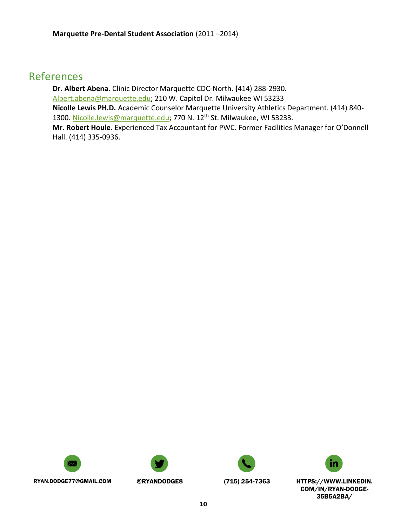## References

**Dr. Albert Abena.** Clinic Director Marquette CDC-North. **(**414) 288-2930. [Albert.abena@marquette.edu;](mailto:Albert.abena@marquette.edu) 210 W. Capitol Dr. Milwaukee WI 53233 **Nicolle Lewis PH.D.** Academic Counselor Marquette University Athletics Department. (414) 840- 1300. [Nicolle.lewis@marquette.edu;](mailto:Nicolle.lewis@marquette.edu) 770 N. 12<sup>th</sup> St. Milwaukee, WI 53233. **Mr. Robert Houle**. Experienced Tax Accountant for PWC. Former Facilities Manager for O'Donnell

Hall. (414) 335-0936.